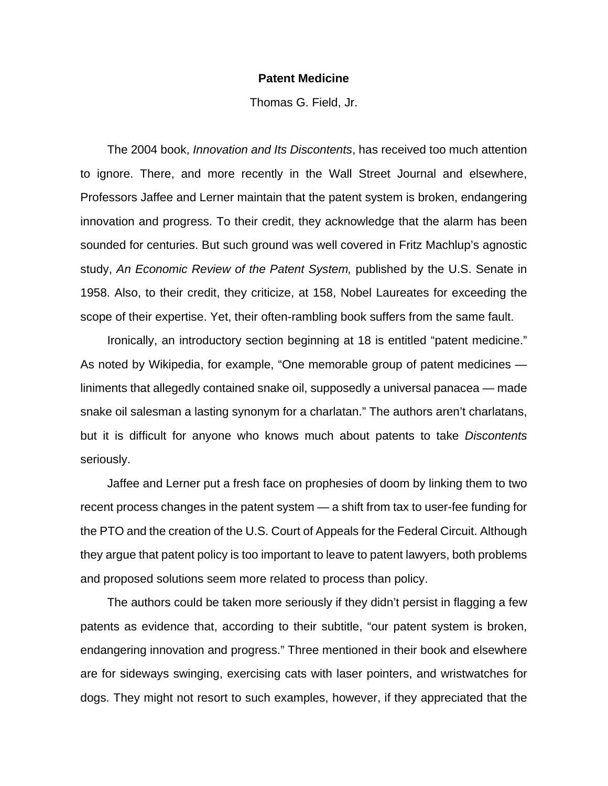## **Patent Medicine**

Thomas G. Field, Jr.

 The 2004 book, *Innovation and Its Discontents*, has received too much attention to ignore. There, and more recently in the Wall Street Journal and elsewhere, Professors Jaffee and Lerner maintain that the patent system is broken, endangering innovation and progress. To their credit, they acknowledge that the alarm has been sounded for centuries. But such ground was well covered in Fritz Machlup's agnostic study, *An Economic Review of the Patent System,* published by the U.S. Senate in 1958. Also, to their credit, they criticize, at 158, Nobel Laureates for exceeding the scope of their expertise. Yet, their often-rambling book suffers from the same fault.

 Ironically, an introductory section beginning at 18 is entitled "patent medicine." As noted by Wikipedia, for example, "One memorable group of patent medicines liniments that allegedly contained snake oil, supposedly a universal panacea — made snake oil salesman a lasting synonym for a charlatan." The authors aren't charlatans, but it is difficult for anyone who knows much about patents to take *Discontents* seriously.

 Jaffee and Lerner put a fresh face on prophesies of doom by linking them to two recent process changes in the patent system — a shift from tax to user-fee funding for the PTO and the creation of the U.S. Court of Appeals for the Federal Circuit. Although they argue that patent policy is too important to leave to patent lawyers, both problems and proposed solutions seem more related to process than policy.

 The authors could be taken more seriously if they didn't persist in flagging a few patents as evidence that, according to their subtitle, "our patent system is broken, endangering innovation and progress." Three mentioned in their book and elsewhere are for sideways swinging, exercising cats with laser pointers, and wristwatches for dogs. They might not resort to such examples, however, if they appreciated that the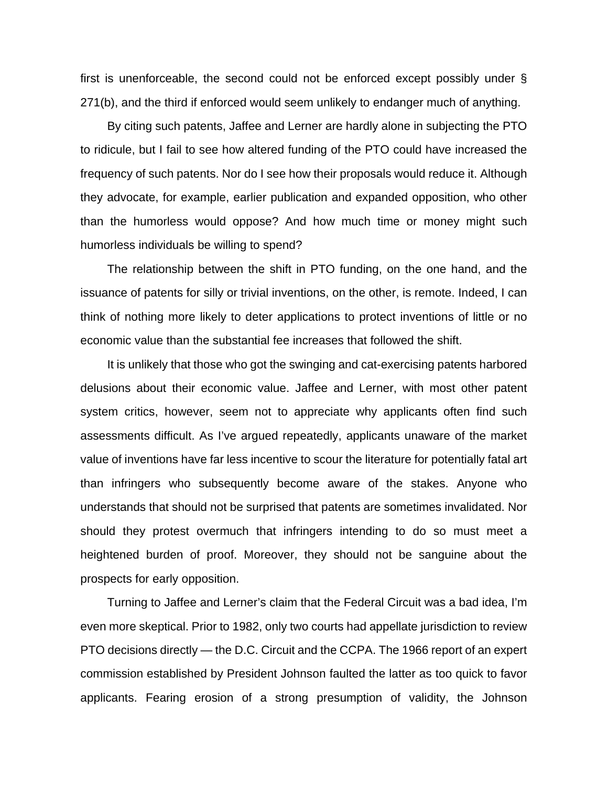first is unenforceable, the second could not be enforced except possibly under § 271(b), and the third if enforced would seem unlikely to endanger much of anything.

 By citing such patents, Jaffee and Lerner are hardly alone in subjecting the PTO to ridicule, but I fail to see how altered funding of the PTO could have increased the frequency of such patents. Nor do I see how their proposals would reduce it. Although they advocate, for example, earlier publication and expanded opposition, who other than the humorless would oppose? And how much time or money might such humorless individuals be willing to spend?

 The relationship between the shift in PTO funding, on the one hand, and the issuance of patents for silly or trivial inventions, on the other, is remote. Indeed, I can think of nothing more likely to deter applications to protect inventions of little or no economic value than the substantial fee increases that followed the shift.

 It is unlikely that those who got the swinging and cat-exercising patents harbored delusions about their economic value. Jaffee and Lerner, with most other patent system critics, however, seem not to appreciate why applicants often find such assessments difficult. As I've argued repeatedly, applicants unaware of the market value of inventions have far less incentive to scour the literature for potentially fatal art than infringers who subsequently become aware of the stakes. Anyone who understands that should not be surprised that patents are sometimes invalidated. Nor should they protest overmuch that infringers intending to do so must meet a heightened burden of proof. Moreover, they should not be sanguine about the prospects for early opposition.

 Turning to Jaffee and Lerner's claim that the Federal Circuit was a bad idea, I'm even more skeptical. Prior to 1982, only two courts had appellate jurisdiction to review PTO decisions directly — the D.C. Circuit and the CCPA. The 1966 report of an expert commission established by President Johnson faulted the latter as too quick to favor applicants. Fearing erosion of a strong presumption of validity, the Johnson